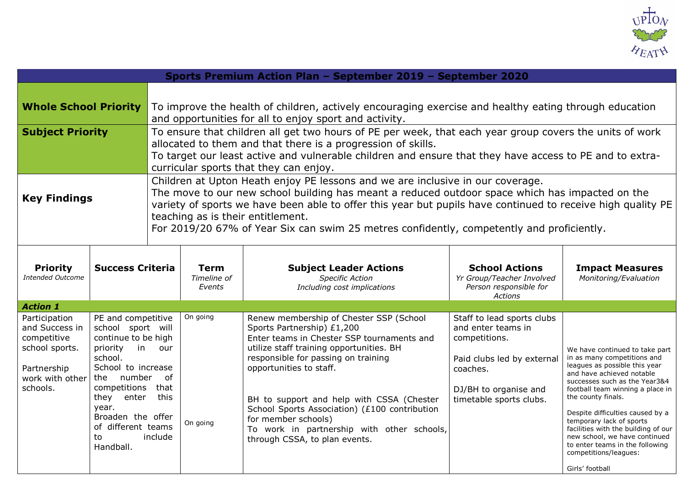

| Sports Premium Action Plan - September 2019 - September 2020                                                   |                                                                                                                                                                                                                                   |                                                                                                                                                                                                                                                                                                                              |                                                                                                                                                                                                                                                                                                                                                                                                                                    |                                                                                                                                                                                                                                                                                                                                                                                                                                       |                                                                                                                                                                 |                                                                                                                                                                                                                                                                                                                                                                                                                                               |  |  |
|----------------------------------------------------------------------------------------------------------------|-----------------------------------------------------------------------------------------------------------------------------------------------------------------------------------------------------------------------------------|------------------------------------------------------------------------------------------------------------------------------------------------------------------------------------------------------------------------------------------------------------------------------------------------------------------------------|------------------------------------------------------------------------------------------------------------------------------------------------------------------------------------------------------------------------------------------------------------------------------------------------------------------------------------------------------------------------------------------------------------------------------------|---------------------------------------------------------------------------------------------------------------------------------------------------------------------------------------------------------------------------------------------------------------------------------------------------------------------------------------------------------------------------------------------------------------------------------------|-----------------------------------------------------------------------------------------------------------------------------------------------------------------|-----------------------------------------------------------------------------------------------------------------------------------------------------------------------------------------------------------------------------------------------------------------------------------------------------------------------------------------------------------------------------------------------------------------------------------------------|--|--|
| <b>Whole School Priority</b>                                                                                   |                                                                                                                                                                                                                                   | To improve the health of children, actively encouraging exercise and healthy eating through education<br>and opportunities for all to enjoy sport and activity.                                                                                                                                                              |                                                                                                                                                                                                                                                                                                                                                                                                                                    |                                                                                                                                                                                                                                                                                                                                                                                                                                       |                                                                                                                                                                 |                                                                                                                                                                                                                                                                                                                                                                                                                                               |  |  |
| <b>Subject Priority</b>                                                                                        |                                                                                                                                                                                                                                   | To ensure that children all get two hours of PE per week, that each year group covers the units of work<br>allocated to them and that there is a progression of skills.<br>To target our least active and vulnerable children and ensure that they have access to PE and to extra-<br>curricular sports that they can enjoy. |                                                                                                                                                                                                                                                                                                                                                                                                                                    |                                                                                                                                                                                                                                                                                                                                                                                                                                       |                                                                                                                                                                 |                                                                                                                                                                                                                                                                                                                                                                                                                                               |  |  |
| <b>Key Findings</b>                                                                                            |                                                                                                                                                                                                                                   |                                                                                                                                                                                                                                                                                                                              | Children at Upton Heath enjoy PE lessons and we are inclusive in our coverage.<br>The move to our new school building has meant a reduced outdoor space which has impacted on the<br>variety of sports we have been able to offer this year but pupils have continued to receive high quality PE<br>teaching as is their entitlement.<br>For 2019/20 67% of Year Six can swim 25 metres confidently, competently and proficiently. |                                                                                                                                                                                                                                                                                                                                                                                                                                       |                                                                                                                                                                 |                                                                                                                                                                                                                                                                                                                                                                                                                                               |  |  |
| <b>Priority</b><br><b>Intended Outcome</b>                                                                     | <b>Success Criteria</b>                                                                                                                                                                                                           |                                                                                                                                                                                                                                                                                                                              | <b>Term</b><br>Timeline of<br>Events                                                                                                                                                                                                                                                                                                                                                                                               | <b>Subject Leader Actions</b><br><b>Specific Action</b><br>Including cost implications                                                                                                                                                                                                                                                                                                                                                | <b>School Actions</b><br>Yr Group/Teacher Involved<br>Person responsible for<br>Actions                                                                         | <b>Impact Measures</b><br>Monitoring/Evaluation                                                                                                                                                                                                                                                                                                                                                                                               |  |  |
| <b>Action 1</b>                                                                                                |                                                                                                                                                                                                                                   |                                                                                                                                                                                                                                                                                                                              |                                                                                                                                                                                                                                                                                                                                                                                                                                    |                                                                                                                                                                                                                                                                                                                                                                                                                                       |                                                                                                                                                                 |                                                                                                                                                                                                                                                                                                                                                                                                                                               |  |  |
| Participation<br>and Success in<br>competitive<br>school sports.<br>Partnership<br>work with other<br>schools. | PE and competitive<br>school sport will<br>continue to be high<br>priority<br>school.<br>School to increase<br>the number<br>competitions<br>they<br>enter<br>year.<br>Broaden the offer<br>of different teams<br>to<br>Handball. | in our<br>of<br>that<br>this<br>include                                                                                                                                                                                                                                                                                      | On going<br>On going                                                                                                                                                                                                                                                                                                                                                                                                               | Renew membership of Chester SSP (School<br>Sports Partnership) £1,200<br>Enter teams in Chester SSP tournaments and<br>utilize staff training opportunities. BH<br>responsible for passing on training<br>opportunities to staff.<br>BH to support and help with CSSA (Chester<br>School Sports Association) (£100 contribution<br>for member schools)<br>To work in partnership with other schools,<br>through CSSA, to plan events. | Staff to lead sports clubs<br>and enter teams in<br>competitions.<br>Paid clubs led by external<br>coaches.<br>DJ/BH to organise and<br>timetable sports clubs. | We have continued to take part<br>in as many competitions and<br>leagues as possible this year<br>and have achieved notable<br>successes such as the Year3&4<br>football team winning a place in<br>the county finals.<br>Despite difficulties caused by a<br>temporary lack of sports<br>facilities with the building of our<br>new school, we have continued<br>to enter teams in the following<br>competitions/leagues:<br>Girls' football |  |  |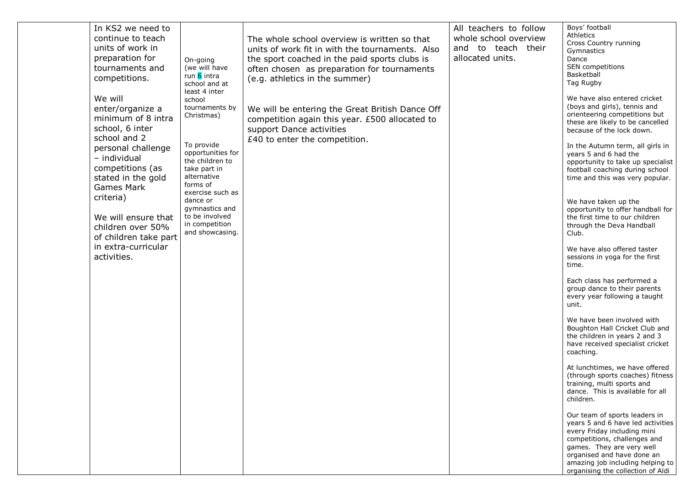| In KS2 we need to<br>continue to teach<br>units of work in<br>preparation for<br>tournaments and<br>competitions.<br>We will<br>enter/organize a<br>minimum of 8 intra<br>school, 6 inter<br>school and 2<br>personal challenge<br>- individual<br>competitions (as<br>stated in the gold<br><b>Games Mark</b><br>criteria)<br>We will ensure that | On-going<br>(we will have<br>run 6 intra<br>school and at<br>least 4 inter<br>school<br>tournaments by<br>Christmas)<br>To provide<br>opportunities for<br>the children to<br>take part in<br>alternative<br>forms of<br>exercise such as<br>dance or<br>gymnastics and<br>to be involved | The whole school overview is written so that<br>units of work fit in with the tournaments. Also<br>the sport coached in the paid sports clubs is<br>often chosen as preparation for tournaments<br>(e.g. athletics in the summer)<br>We will be entering the Great British Dance Off<br>competition again this year. £500 allocated to<br>support Dance activities<br>£40 to enter the competition. | All teachers to follow<br>whole school overview<br>and to teach their<br>allocated units. | Boys' football<br>Athletics<br>Cross Country running<br>Gymnastics<br>Dance<br>SEN competitions<br>Basketball<br>Tag Rugby<br>We have also entered cricket<br>(boys and girls), tennis and<br>orienteering competitions but<br>these are likely to be cancelled<br>because of the lock down.<br>In the Autumn term, all girls in<br>years 5 and 6 had the<br>opportunity to take up specialist<br>football coaching during school<br>time and this was very popular.<br>We have taken up the<br>opportunity to offer handball for<br>the first time to our children |
|----------------------------------------------------------------------------------------------------------------------------------------------------------------------------------------------------------------------------------------------------------------------------------------------------------------------------------------------------|-------------------------------------------------------------------------------------------------------------------------------------------------------------------------------------------------------------------------------------------------------------------------------------------|-----------------------------------------------------------------------------------------------------------------------------------------------------------------------------------------------------------------------------------------------------------------------------------------------------------------------------------------------------------------------------------------------------|-------------------------------------------------------------------------------------------|---------------------------------------------------------------------------------------------------------------------------------------------------------------------------------------------------------------------------------------------------------------------------------------------------------------------------------------------------------------------------------------------------------------------------------------------------------------------------------------------------------------------------------------------------------------------|
| children over 50%<br>of children take part                                                                                                                                                                                                                                                                                                         | in competition<br>and showcasing.                                                                                                                                                                                                                                                         |                                                                                                                                                                                                                                                                                                                                                                                                     |                                                                                           | through the Deva Handball<br>Club.                                                                                                                                                                                                                                                                                                                                                                                                                                                                                                                                  |
| in extra-curricular<br>activities.                                                                                                                                                                                                                                                                                                                 |                                                                                                                                                                                                                                                                                           |                                                                                                                                                                                                                                                                                                                                                                                                     |                                                                                           | We have also offered taster<br>sessions in yoga for the first<br>time.                                                                                                                                                                                                                                                                                                                                                                                                                                                                                              |
|                                                                                                                                                                                                                                                                                                                                                    |                                                                                                                                                                                                                                                                                           |                                                                                                                                                                                                                                                                                                                                                                                                     |                                                                                           | Each class has performed a<br>group dance to their parents<br>every year following a taught<br>unit.                                                                                                                                                                                                                                                                                                                                                                                                                                                                |
|                                                                                                                                                                                                                                                                                                                                                    |                                                                                                                                                                                                                                                                                           |                                                                                                                                                                                                                                                                                                                                                                                                     |                                                                                           | We have been involved with<br>Boughton Hall Cricket Club and<br>the children in years 2 and 3<br>have received specialist cricket<br>coaching.                                                                                                                                                                                                                                                                                                                                                                                                                      |
|                                                                                                                                                                                                                                                                                                                                                    |                                                                                                                                                                                                                                                                                           |                                                                                                                                                                                                                                                                                                                                                                                                     |                                                                                           | At lunchtimes, we have offered<br>(through sports coaches) fitness<br>training, multi sports and<br>dance. This is available for all<br>children.                                                                                                                                                                                                                                                                                                                                                                                                                   |
|                                                                                                                                                                                                                                                                                                                                                    |                                                                                                                                                                                                                                                                                           |                                                                                                                                                                                                                                                                                                                                                                                                     |                                                                                           | Our team of sports leaders in<br>years 5 and 6 have led activities<br>every Friday including mini<br>competitions, challenges and<br>games. They are very well<br>organised and have done an<br>amazing job including helping to<br>organising the collection of Aldi                                                                                                                                                                                                                                                                                               |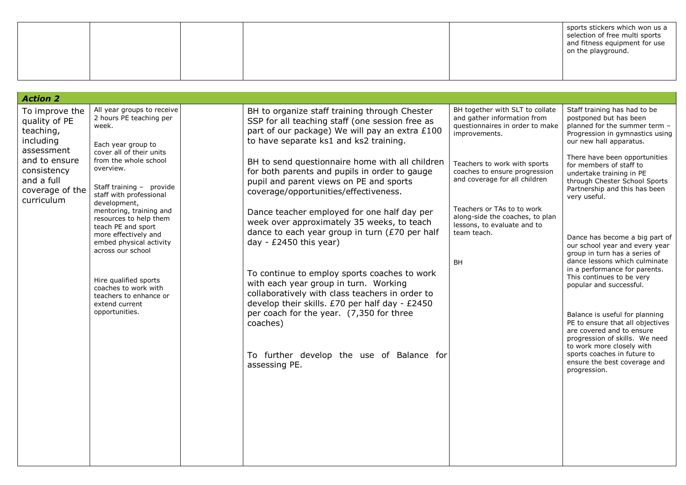|  | sports stickers which won us a<br>selection of free multi sports<br>and fitness equipment for use<br>on the playground. |
|--|-------------------------------------------------------------------------------------------------------------------------|
|  |                                                                                                                         |

| <b>Action 2</b>                                                             |                                                                                                                                                                 |                                                                                                                                                                                              |                                                                                                                    |                                                                                                                                                                        |
|-----------------------------------------------------------------------------|-----------------------------------------------------------------------------------------------------------------------------------------------------------------|----------------------------------------------------------------------------------------------------------------------------------------------------------------------------------------------|--------------------------------------------------------------------------------------------------------------------|------------------------------------------------------------------------------------------------------------------------------------------------------------------------|
| To improve the<br>quality of PE<br>teaching,<br>including<br>assessment     | All year groups to receive<br>2 hours PE teaching per<br>week.<br>Each year group to                                                                            | BH to organize staff training through Chester<br>SSP for all teaching staff (one session free as<br>part of our package) We will pay an extra £100<br>to have separate ks1 and ks2 training. | BH together with SLT to collate<br>and gather information from<br>questionnaires in order to make<br>improvements. | Staff training has had to be<br>postponed but has been<br>planned for the summer term -<br>Progression in gymnastics using<br>our new hall apparatus.                  |
| and to ensure<br>consistency<br>and a full<br>coverage of the<br>curriculum | cover all of their units<br>from the whole school<br>overview.<br>Staff training - provide<br>staff with professional                                           | BH to send questionnaire home with all children<br>for both parents and pupils in order to gauge<br>pupil and parent views on PE and sports<br>coverage/opportunities/effectiveness.         | Teachers to work with sports<br>coaches to ensure progression<br>and coverage for all children                     | There have been opportunities<br>for members of staff to<br>undertake training in PE<br>through Chester School Sports<br>Partnership and this has been<br>very useful. |
|                                                                             | development,<br>mentoring, training and<br>resources to help them<br>teach PE and sport<br>more effectively and<br>embed physical activity<br>across our school | Dance teacher employed for one half day per<br>week over approximately 35 weeks, to teach<br>dance to each year group in turn (£70 per half<br>day - $£2450$ this year)                      | Teachers or TAs to to work<br>along-side the coaches, to plan<br>lessons, to evaluate and to<br>team teach.<br>BH  | Dance has become a big part of<br>our school year and every year<br>group in turn has a series of<br>dance lessons which culminate                                     |
|                                                                             | Hire qualified sports<br>coaches to work with<br>teachers to enhance or<br>extend current                                                                       | To continue to employ sports coaches to work<br>with each year group in turn. Working<br>collaboratively with class teachers in order to<br>develop their skills. £70 per half day - £2450   |                                                                                                                    | in a performance for parents.<br>This continues to be very<br>popular and successful.                                                                                  |
|                                                                             | opportunities.                                                                                                                                                  | per coach for the year. (7,350 for three<br>coaches)                                                                                                                                         |                                                                                                                    | Balance is useful for planning<br>PE to ensure that all objectives<br>are covered and to ensure<br>progression of skills. We need<br>to work more closely with         |
|                                                                             |                                                                                                                                                                 | To further develop the use of Balance for<br>assessing PE.                                                                                                                                   |                                                                                                                    | sports coaches in future to<br>ensure the best coverage and<br>progression.                                                                                            |
|                                                                             |                                                                                                                                                                 |                                                                                                                                                                                              |                                                                                                                    |                                                                                                                                                                        |
|                                                                             |                                                                                                                                                                 |                                                                                                                                                                                              |                                                                                                                    |                                                                                                                                                                        |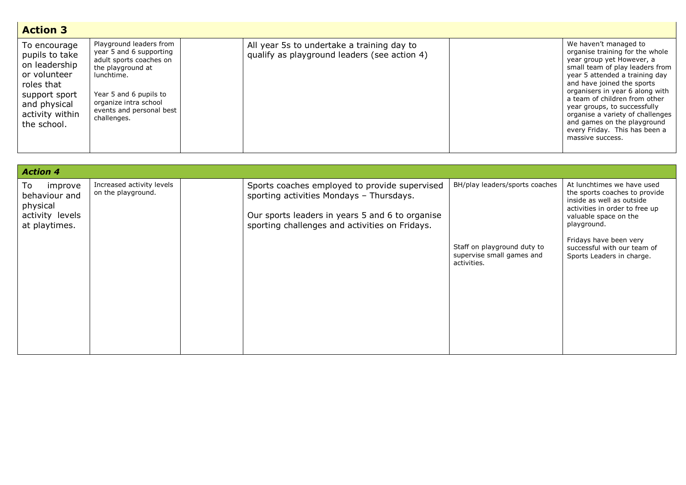| <b>Action 3</b>                                                                                                                                  |                                                                                                                                                                                                                |                                                                                            |                                                                                                                                                                                                                                                                                                                                                                                                                      |
|--------------------------------------------------------------------------------------------------------------------------------------------------|----------------------------------------------------------------------------------------------------------------------------------------------------------------------------------------------------------------|--------------------------------------------------------------------------------------------|----------------------------------------------------------------------------------------------------------------------------------------------------------------------------------------------------------------------------------------------------------------------------------------------------------------------------------------------------------------------------------------------------------------------|
| To encourage<br>pupils to take<br>on leadership<br>or volunteer<br>roles that<br>support sport<br>and physical<br>activity within<br>the school. | Playground leaders from<br>year 5 and 6 supporting<br>adult sports coaches on<br>the playground at<br>lunchtime.<br>Year 5 and 6 pupils to<br>organize intra school<br>events and personal best<br>challenges. | All year 5s to undertake a training day to<br>qualify as playground leaders (see action 4) | We haven't managed to<br>organise training for the whole<br>year group yet However, a<br>small team of play leaders from<br>year 5 attended a training day<br>and have joined the sports<br>organisers in year 6 along with<br>a team of children from other<br>year groups, to successfully<br>organise a variety of challenges<br>and games on the playground<br>every Friday. This has been a<br>massive success. |

| <b>Action 4</b>                                                                 |                                                 |                                                                                                                                                                                                |                                                                                                           |                                                                                                                                                                                                                                                          |
|---------------------------------------------------------------------------------|-------------------------------------------------|------------------------------------------------------------------------------------------------------------------------------------------------------------------------------------------------|-----------------------------------------------------------------------------------------------------------|----------------------------------------------------------------------------------------------------------------------------------------------------------------------------------------------------------------------------------------------------------|
| improve<br>To:<br>behaviour and<br>physical<br>activity levels<br>at playtimes. | Increased activity levels<br>on the playground. | Sports coaches employed to provide supervised<br>sporting activities Mondays - Thursdays.<br>Our sports leaders in years 5 and 6 to organise<br>sporting challenges and activities on Fridays. | BH/play leaders/sports coaches<br>Staff on playground duty to<br>supervise small games and<br>activities. | At lunchtimes we have used<br>the sports coaches to provide<br>inside as well as outside<br>activities in order to free up<br>valuable space on the<br>playground.<br>Fridays have been very<br>successful with our team of<br>Sports Leaders in charge. |